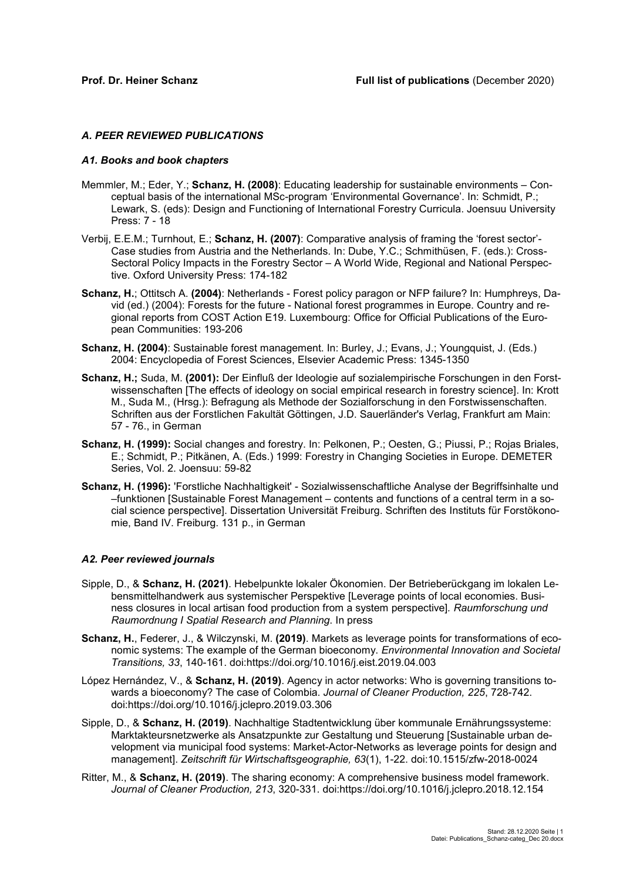# *A. PEER REVIEWED PUBLICATIONS*

#### *A1. Books and book chapters*

- Memmler, M.; Eder, Y.; **Schanz, H. (2008)**: Educating leadership for sustainable environments Conceptual basis of the international MSc-program 'Environmental Governance'. In: Schmidt, P.; Lewark, S. (eds): Design and Functioning of International Forestry Curricula. Joensuu University Press: 7 - 18
- Verbij, E.E.M.; Turnhout, E.; **Schanz, H. (2007)**: Comparative analysis of framing the 'forest sector'- Case studies from Austria and the Netherlands. In: Dube, Y.C.; Schmithüsen, F. (eds.): Cross-Sectoral Policy Impacts in the Forestry Sector – A World Wide, Regional and National Perspective. Oxford University Press: 174-182
- **Schanz, H.**; Ottitsch A. **(2004)**: Netherlands Forest policy paragon or NFP failure? In: Humphreys, David (ed.) (2004): Forests for the future - National forest programmes in Europe. Country and regional reports from COST Action E19. Luxembourg: Office for Official Publications of the European Communities: 193-206
- **Schanz, H. (2004)**: Sustainable forest management. In: Burley, J.; Evans, J.; Youngquist, J. (Eds.) 2004: Encyclopedia of Forest Sciences, Elsevier Academic Press: 1345-1350
- **Schanz, H.;** Suda, M. **(2001):** Der Einfluß der Ideologie auf sozialempirische Forschungen in den Forstwissenschaften [The effects of ideology on social empirical research in forestry science]. In: Krott M., Suda M., (Hrsg.): Befragung als Methode der Sozialforschung in den Forstwissenschaften. Schriften aus der Forstlichen Fakultät Göttingen, J.D. Sauerländer's Verlag, Frankfurt am Main: 57 - 76., in German
- **Schanz, H. (1999):** Social changes and forestry. In: Pelkonen, P.; Oesten, G.; Piussi, P.; Rojas Briales, E.; Schmidt, P.; Pitkänen, A. (Eds.) 1999: Forestry in Changing Societies in Europe. DEMETER Series, Vol. 2. Joensuu: 59-82
- **Schanz, H. (1996):** 'Forstliche Nachhaltigkeit' Sozialwissenschaftliche Analyse der Begriffsinhalte und –funktionen [Sustainable Forest Management – contents and functions of a central term in a social science perspective]. Dissertation Universität Freiburg. Schriften des Instituts für Forstökonomie, Band IV. Freiburg. 131 p., in German

#### *A2. Peer reviewed journals*

- Sipple, D., & **Schanz, H. (2021)**. Hebelpunkte lokaler Ökonomien. Der Betrieberückgang im lokalen Lebensmittelhandwerk aus systemischer Perspektive [Leverage points of local economies. Business closures in local artisan food production from a system perspective]*. Raumforschung und Raumordnung I Spatial Research and Planning*. In press
- **Schanz, H.**, Federer, J., & Wilczynski, M. **(2019)**. Markets as leverage points for transformations of economic systems: The example of the German bioeconomy. *Environmental Innovation and Societal Transitions, 33*, 140-161. doi[:https://doi.org/10.1016/j.eist.2019.04.003](https://doi.org/10.1016/j.eist.2019.04.003)
- López Hernández, V., & **Schanz, H. (2019)**. Agency in actor networks: Who is governing transitions towards a bioeconomy? The case of Colombia. *Journal of Cleaner Production, 225*, 728-742. doi[:https://doi.org/10.1016/j.jclepro.2019.03.306](https://doi.org/10.1016/j.jclepro.2019.03.306)
- Sipple, D., & **Schanz, H. (2019)**. Nachhaltige Stadtentwicklung über kommunale Ernährungssysteme: Marktakteursnetzwerke als Ansatzpunkte zur Gestaltung und Steuerung [Sustainable urban development via municipal food systems: Market-Actor-Networks as leverage points for design and management]. *Zeitschrift für Wirtschaftsgeographie, 63*(1), 1-22. doi:10.1515/zfw-2018-0024
- Ritter, M., & **Schanz, H. (2019)**. The sharing economy: A comprehensive business model framework. *Journal of Cleaner Production, 213*, 320-331. doi:https://doi.org/10.1016/j.jclepro.2018.12.154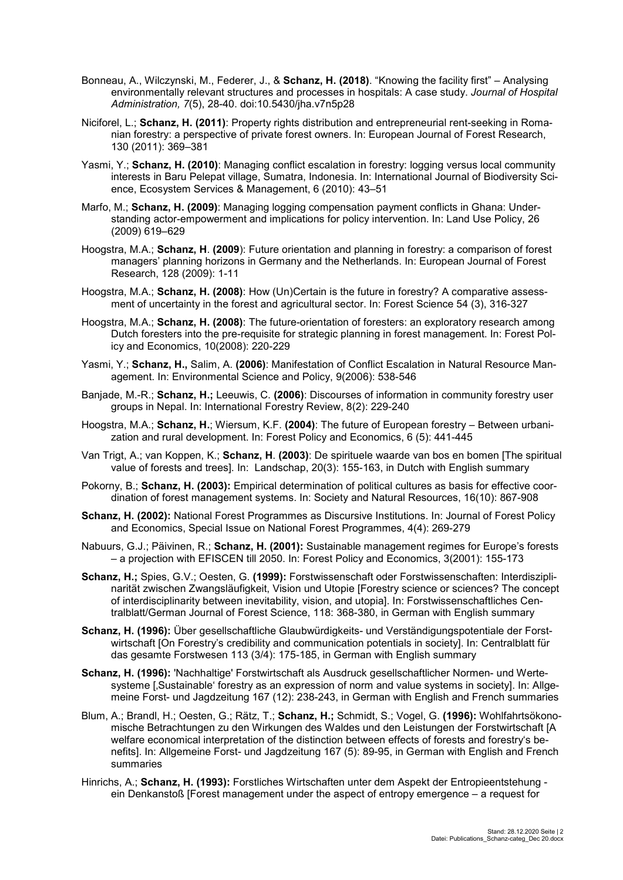- Bonneau, A., Wilczynski, M., Federer, J., & **Schanz, H. (2018)**. "Knowing the facility first" Analysing environmentally relevant structures and processes in hospitals: A case study. *Journal of Hospital Administration, 7*(5), 28-40. doi:10.5430/jha.v7n5p28
- Niciforel, L.; **Schanz, H. (2011)**: Property rights distribution and entrepreneurial rent-seeking in Romanian forestry: a perspective of private forest owners. In: European Journal of Forest Research, 130 (2011): 369–381
- Yasmi, Y.; **Schanz, H. (2010)**: Managing conflict escalation in forestry: logging versus local community interests in Baru Pelepat village, Sumatra, Indonesia. In: International Journal of Biodiversity Science, Ecosystem Services & Management, 6 (2010): 43–51
- Marfo, M.; **Schanz, H. (2009)**: Managing logging compensation payment conflicts in Ghana: Understanding actor-empowerment and implications for policy intervention. In: Land Use Policy, 26 (2009) 619–629
- Hoogstra, M.A.; **Schanz, H**. **(2009**): Future orientation and planning in forestry: a comparison of forest managers' planning horizons in Germany and the Netherlands. In: European Journal of Forest Research, 128 (2009): 1-11
- Hoogstra, M.A.; **Schanz, H. (2008)**: How (Un)Certain is the future in forestry? A comparative assessment of uncertainty in the forest and agricultural sector. In: Forest Science 54 (3), 316-327
- Hoogstra, M.A.; **Schanz, H. (2008)**: The future-orientation of foresters: an exploratory research among Dutch foresters into the pre-requisite for strategic planning in forest management. In: Forest Policy and Economics, 10(2008): 220-229
- Yasmi, Y.; **Schanz, H.,** Salim, A. **(2006)**: Manifestation of Conflict Escalation in Natural Resource Management. In: Environmental Science and Policy, 9(2006): 538-546
- Banjade, M.-R.; **Schanz, H.;** Leeuwis, C. **(2006)**: Discourses of information in community forestry user groups in Nepal. In: International Forestry Review, 8(2): 229-240
- Hoogstra, M.A.; **Schanz, H.**; Wiersum, K.F. **(2004)**: The future of European forestry Between urbanization and rural development. In: Forest Policy and Economics, 6 (5): 441-445
- Van Trigt, A.; van Koppen, K.; **Schanz, H**. **(2003)**: De spirituele waarde van bos en bomen [The spiritual value of forests and trees]. In: Landschap, 20(3): 155-163, in Dutch with English summary
- Pokorny, B.; **Schanz, H. (2003):** Empirical determination of political cultures as basis for effective coordination of forest management systems. In: Society and Natural Resources, 16(10): 867-908
- **Schanz, H. (2002):** National Forest Programmes as Discursive Institutions. In: Journal of Forest Policy and Economics, Special Issue on National Forest Programmes, 4(4): 269-279
- Nabuurs, G.J.; Päivinen, R.; **Schanz, H. (2001):** Sustainable management regimes for Europe's forests – a projection with EFISCEN till 2050. In: Forest Policy and Economics, 3(2001): 155-173
- **Schanz, H.;** Spies, G.V.; Oesten, G. **(1999):** Forstwissenschaft oder Forstwissenschaften: Interdisziplinarität zwischen Zwangsläufigkeit, Vision und Utopie [Forestry science or sciences? The concept of interdisciplinarity between inevitability, vision, and utopia]. In: Forstwissenschaftliches Centralblatt/German Journal of Forest Science, 118: 368-380, in German with English summary
- **Schanz, H. (1996):** Über gesellschaftliche Glaubwürdigkeits- und Verständigungspotentiale der Forstwirtschaft [On Forestry's credibility and communication potentials in society]. In: Centralblatt für das gesamte Forstwesen 113 (3/4): 175-185, in German with English summary
- **Schanz, H. (1996):** 'Nachhaltige' Forstwirtschaft als Ausdruck gesellschaftlicher Normen- und Wertesysteme [,Sustainable' forestry as an expression of norm and value systems in society]. In: Allgemeine Forst- und Jagdzeitung 167 (12): 238-243, in German with English and French summaries
- Blum, A.; Brandl, H.; Oesten, G.; Rätz, T.; **Schanz, H.;** Schmidt, S.; Vogel, G. **(1996):** Wohlfahrtsökonomische Betrachtungen zu den Wirkungen des Waldes und den Leistungen der Forstwirtschaft [A welfare economical interpretation of the distinction between effects of forests and forestry's benefits]. In: Allgemeine Forst- und Jagdzeitung 167 (5): 89-95, in German with English and French summaries
- Hinrichs, A.; **Schanz, H. (1993):** Forstliches Wirtschaften unter dem Aspekt der Entropieentstehung ein Denkanstoß [Forest management under the aspect of entropy emergence – a request for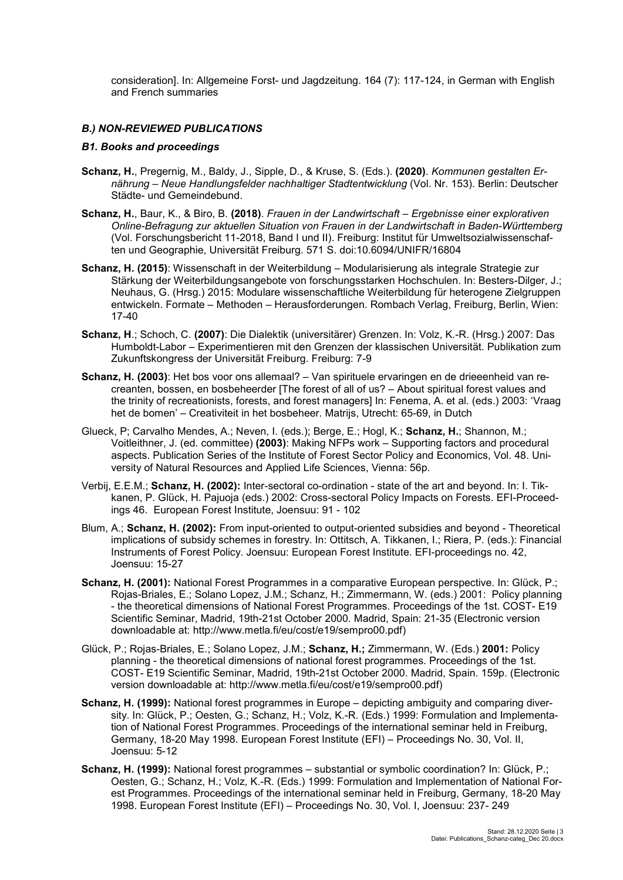consideration]. In: Allgemeine Forst- und Jagdzeitung. 164 (7): 117-124, in German with English and French summaries

# *B.) NON-REVIEWED PUBLICATIONS*

#### *B1. Books and proceedings*

- **Schanz, H.**, Pregernig, M., Baldy, J., Sipple, D., & Kruse, S. (Eds.). **(2020)**. *Kommunen gestalten Ernährung – Neue Handlungsfelder nachhaltiger Stadtentwicklung* (Vol. Nr. 153). Berlin: Deutscher Städte- und Gemeindebund.
- **Schanz, H.**, Baur, K., & Biro, B. **(2018)**. *Frauen in der Landwirtschaft – Ergebnisse einer explorativen Online-Befragung zur aktuellen Situation von Frauen in der Landwirtschaft in Baden-Württemberg* (Vol. Forschungsbericht 11-2018, Band I und II). Freiburg: Institut für Umweltsozialwissenschaften und Geographie, Universität Freiburg. 571 S. doi:10.6094/UNIFR/16804
- **Schanz, H. (2015)**: Wissenschaft in der Weiterbildung Modularisierung als integrale Strategie zur Stärkung der Weiterbildungsangebote von forschungsstarken Hochschulen. In: Besters-Dilger, J.; Neuhaus, G. (Hrsg.) 2015: Modulare wissenschaftliche Weiterbildung für heterogene Zielgruppen entwickeln. Formate – Methoden – Herausforderungen. Rombach Verlag, Freiburg, Berlin, Wien: 17-40
- **Schanz, H**.; Schoch, C. **(2007)**: Die Dialektik (universitärer) Grenzen. In: Volz, K.-R. (Hrsg.) 2007: Das Humboldt-Labor – Experimentieren mit den Grenzen der klassischen Universität. Publikation zum Zukunftskongress der Universität Freiburg. Freiburg: 7-9
- **Schanz, H. (2003)**: Het bos voor ons allemaal? Van spirituele ervaringen en de drieeenheid van recreanten, bossen, en bosbeheerder [The forest of all of us? – About spiritual forest values and the trinity of recreationists, forests, and forest managers] In: Fenema, A. et al. (eds.) 2003: 'Vraag het de bomen' – Creativiteit in het bosbeheer. Matrijs, Utrecht: 65-69, in Dutch
- Glueck, P; Carvalho Mendes, A.; Neven, I. (eds.); Berge, E.; Hogl, K.; **Schanz, H.**; Shannon, M.; Voitleithner, J. (ed. committee) **(2003)**: Making NFPs work – Supporting factors and procedural aspects. Publication Series of the Institute of Forest Sector Policy and Economics, Vol. 48. University of Natural Resources and Applied Life Sciences, Vienna: 56p.
- Verbij, E.E.M.; **Schanz, H. (2002):** Inter-sectoral co-ordination state of the art and beyond. In: I. Tikkanen, P. Glück, H. Pajuoja (eds.) 2002: Cross-sectoral Policy Impacts on Forests. EFI-Proceedings 46. European Forest Institute, Joensuu: 91 - 102
- Blum, A.; **Schanz, H. (2002):** From input-oriented to output-oriented subsidies and beyond Theoretical implications of subsidy schemes in forestry. In: Ottitsch, A. Tikkanen, I.; Riera, P. (eds.): Financial Instruments of Forest Policy. Joensuu: European Forest Institute. EFI-proceedings no. 42, Joensuu: 15-27
- **Schanz, H. (2001):** National Forest Programmes in a comparative European perspective. In: Glück, P.; Rojas-Briales, E.; Solano Lopez, J.M.; Schanz, H.; Zimmermann, W. (eds.) 2001: Policy planning - the theoretical dimensions of National Forest Programmes. Proceedings of the 1st. COST- E19 Scientific Seminar, Madrid, 19th-21st October 2000. Madrid, Spain: 21-35 (Electronic version downloadable at: http://www.metla.fi/eu/cost/e19/sempro00.pdf)
- Glück, P.; Rojas-Briales, E.; Solano Lopez, J.M.; **Schanz, H.;** Zimmermann, W. (Eds.) **2001:** Policy planning - the theoretical dimensions of national forest programmes. Proceedings of the 1st. COST- E19 Scientific Seminar, Madrid, 19th-21st October 2000. Madrid, Spain. 159p. (Electronic version downloadable at: http://www.metla.fi/eu/cost/e19/sempro00.pdf)
- **Schanz, H. (1999):** National forest programmes in Europe depicting ambiguity and comparing diversity. In: Glück, P.; Oesten, G.; Schanz, H.; Volz, K.-R. (Eds.) 1999: Formulation and Implementation of National Forest Programmes. Proceedings of the international seminar held in Freiburg, Germany, 18-20 May 1998. European Forest Institute (EFI) – Proceedings No. 30, Vol. II, Joensuu: 5-12
- **Schanz, H. (1999):** National forest programmes substantial or symbolic coordination? In: Glück, P.; Oesten, G.; Schanz, H.; Volz, K.-R. (Eds.) 1999: Formulation and Implementation of National Forest Programmes. Proceedings of the international seminar held in Freiburg, Germany, 18-20 May 1998. European Forest Institute (EFI) – Proceedings No. 30, Vol. I, Joensuu: 237- 249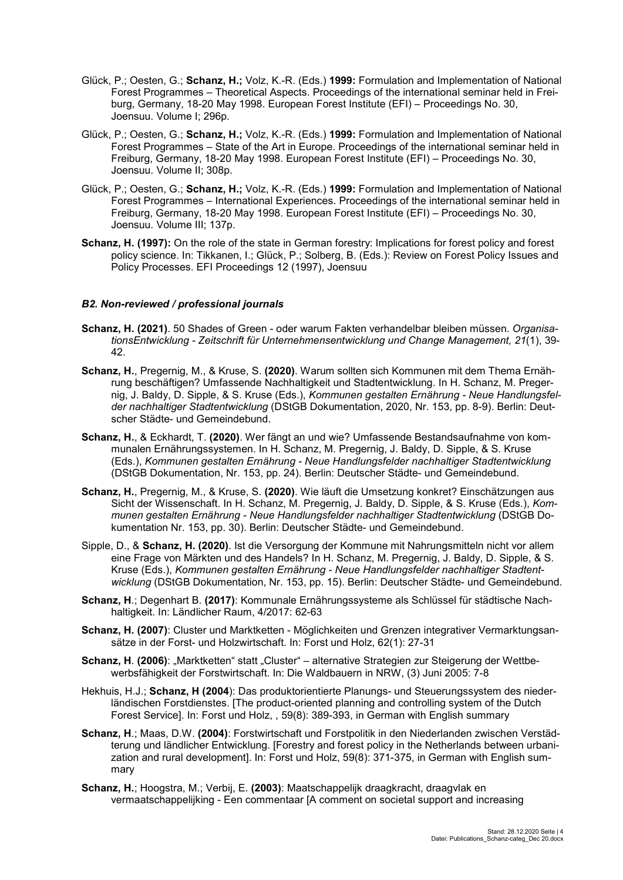- Glück, P.; Oesten, G.; **Schanz, H.;** Volz, K.-R. (Eds.) **1999:** Formulation and Implementation of National Forest Programmes – Theoretical Aspects. Proceedings of the international seminar held in Freiburg, Germany, 18-20 May 1998. European Forest Institute (EFI) – Proceedings No. 30, Joensuu. Volume I; 296p.
- Glück, P.; Oesten, G.; **Schanz, H.;** Volz, K.-R. (Eds.) **1999:** Formulation and Implementation of National Forest Programmes – State of the Art in Europe. Proceedings of the international seminar held in Freiburg, Germany, 18-20 May 1998. European Forest Institute (EFI) – Proceedings No. 30, Joensuu. Volume II; 308p.
- Glück, P.; Oesten, G.; **Schanz, H.;** Volz, K.-R. (Eds.) **1999:** Formulation and Implementation of National Forest Programmes – International Experiences. Proceedings of the international seminar held in Freiburg, Germany, 18-20 May 1998. European Forest Institute (EFI) – Proceedings No. 30, Joensuu. Volume III; 137p.
- **Schanz, H. (1997):** On the role of the state in German forestry: Implications for forest policy and forest policy science. In: Tikkanen, I.; Glück, P.; Solberg, B. (Eds.): Review on Forest Policy Issues and Policy Processes. EFI Proceedings 12 (1997), Joensuu

# *B2. Non-reviewed / professional journals*

- **Schanz, H. (2021)**. 50 Shades of Green oder warum Fakten verhandelbar bleiben müssen. *OrganisationsEntwicklung - Zeitschrift für Unternehmensentwicklung und Change Management, 21*(1), 39- 42.
- **Schanz, H.**, Pregernig, M., & Kruse, S. **(2020)**. Warum sollten sich Kommunen mit dem Thema Ernährung beschäftigen? Umfassende Nachhaltigkeit und Stadtentwicklung. In H. Schanz, M. Pregernig, J. Baldy, D. Sipple, & S. Kruse (Eds.), *Kommunen gestalten Ernährung - Neue Handlungsfelder nachhaltiger Stadtentwicklung* (DStGB Dokumentation, 2020, Nr. 153, pp. 8-9). Berlin: Deutscher Städte- und Gemeindebund.
- **Schanz, H.**, & Eckhardt, T. **(2020)**. Wer fängt an und wie? Umfassende Bestandsaufnahme von kommunalen Ernährungssystemen. In H. Schanz, M. Pregernig, J. Baldy, D. Sipple, & S. Kruse (Eds.), *Kommunen gestalten Ernährung - Neue Handlungsfelder nachhaltiger Stadtentwicklung* (DStGB Dokumentation, Nr. 153, pp. 24). Berlin: Deutscher Städte- und Gemeindebund.
- **Schanz, H.**, Pregernig, M., & Kruse, S. **(2020)**. Wie läuft die Umsetzung konkret? Einschätzungen aus Sicht der Wissenschaft. In H. Schanz, M. Pregernig, J. Baldy, D. Sipple, & S. Kruse (Eds.), *Kommunen gestalten Ernährung - Neue Handlungsfelder nachhaltiger Stadtentwicklung* (DStGB Dokumentation Nr. 153, pp. 30). Berlin: Deutscher Städte- und Gemeindebund.
- Sipple, D., & **Schanz, H. (2020)**. Ist die Versorgung der Kommune mit Nahrungsmitteln nicht vor allem eine Frage von Märkten und des Handels? In H. Schanz, M. Pregernig, J. Baldy, D. Sipple, & S. Kruse (Eds.), *Kommunen gestalten Ernährung - Neue Handlungsfelder nachhaltiger Stadtentwicklung* (DStGB Dokumentation, Nr. 153, pp. 15). Berlin: Deutscher Städte- und Gemeindebund.
- **Schanz, H**.; Degenhart B. **(2017)**: Kommunale Ernährungssysteme als Schlüssel für städtische Nachhaltigkeit. In: Ländlicher Raum, 4/2017: 62-63
- **Schanz, H. (2007)**: Cluster und Marktketten Möglichkeiten und Grenzen integrativer Vermarktungsansätze in der Forst- und Holzwirtschaft. In: Forst und Holz, 62(1): 27-31
- Schanz. H. (2006): "Marktketten" statt "Cluster" alternative Strategien zur Steigerung der Wettbewerbsfähigkeit der Forstwirtschaft. In: Die Waldbauern in NRW, (3) Juni 2005: 7-8
- Hekhuis, H.J.; **Schanz, H (2004**): Das produktorientierte Planungs- und Steuerungssystem des niederländischen Forstdienstes. [The product-oriented planning and controlling system of the Dutch Forest Service]. In: Forst und Holz, , 59(8): 389-393, in German with English summary
- **Schanz, H**.; Maas, D.W. **(2004)**: Forstwirtschaft und Forstpolitik in den Niederlanden zwischen Verstädterung und ländlicher Entwicklung. [Forestry and forest policy in the Netherlands between urbanization and rural development]. In: Forst und Holz, 59(8): 371-375, in German with English summary
- **Schanz, H.**; Hoogstra, M.; Verbij, E. **(2003)**: Maatschappelijk draagkracht, draagvlak en vermaatschappelijking - Een commentaar [A comment on societal support and increasing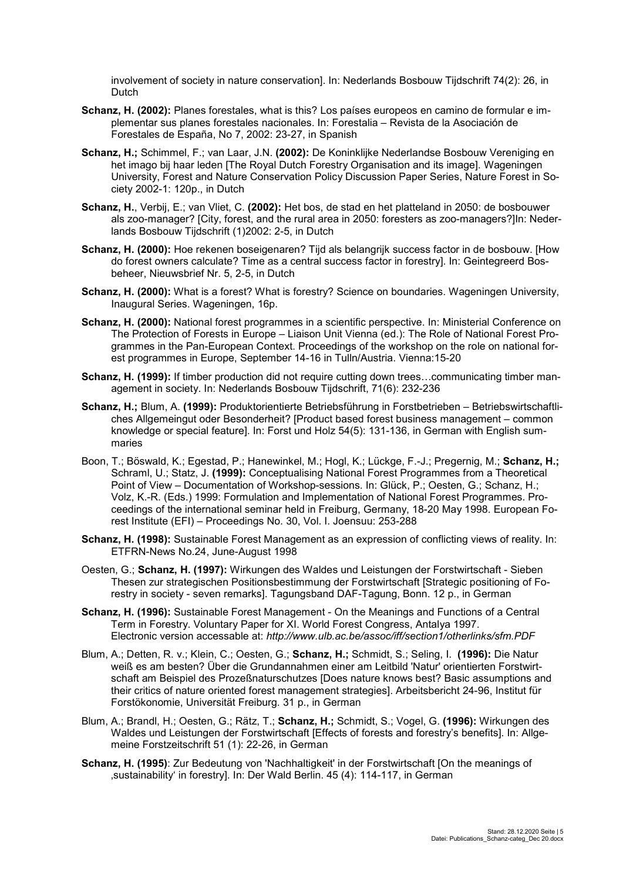involvement of society in nature conservation]. In: Nederlands Bosbouw Tijdschrift 74(2): 26, in **Dutch** 

- **Schanz, H. (2002):** Planes forestales, what is this? Los países europeos en camino de formular e implementar sus planes forestales nacionales. In: Forestalia – Revista de la Asociación de Forestales de España, No 7, 2002: 23-27, in Spanish
- **Schanz, H.;** Schimmel, F.; van Laar, J.N. **(2002):** De Koninklijke Nederlandse Bosbouw Vereniging en het imago bij haar leden [The Royal Dutch Forestry Organisation and its image]. Wageningen University, Forest and Nature Conservation Policy Discussion Paper Series, Nature Forest in Society 2002-1: 120p., in Dutch
- **Schanz, H.**, Verbij, E.; van Vliet, C. **(2002):** Het bos, de stad en het platteland in 2050: de bosbouwer als zoo-manager? [City, forest, and the rural area in 2050: foresters as zoo-managers?]In: Nederlands Bosbouw Tijdschrift (1)2002: 2-5, in Dutch
- **Schanz, H. (2000):** Hoe rekenen boseigenaren? Tijd als belangrijk success factor in de bosbouw. [How do forest owners calculate? Time as a central success factor in forestry]. In: Geintegreerd Bosbeheer, Nieuwsbrief Nr. 5, 2-5, in Dutch
- **Schanz, H. (2000):** What is a forest? What is forestry? Science on boundaries. Wageningen University, Inaugural Series. Wageningen, 16p.
- **Schanz, H. (2000):** National forest programmes in a scientific perspective. In: Ministerial Conference on The Protection of Forests in Europe – Liaison Unit Vienna (ed.): The Role of National Forest Programmes in the Pan-European Context. Proceedings of the workshop on the role on national forest programmes in Europe, September 14-16 in Tulln/Austria. Vienna:15-20
- **Schanz, H. (1999):** If timber production did not require cutting down trees…communicating timber management in society. In: Nederlands Bosbouw Tijdschrift, 71(6): 232-236
- **Schanz, H.;** Blum, A. **(1999):** Produktorientierte Betriebsführung in Forstbetrieben Betriebswirtschaftliches Allgemeingut oder Besonderheit? [Product based forest business management – common knowledge or special feature]. In: Forst und Holz 54(5): 131-136, in German with English summaries
- Boon, T.; Böswald, K.; Egestad, P.; Hanewinkel, M.; Hogl, K.; Lückge, F.-J.; Pregernig, M.; **Schanz, H.;**  Schraml, U.; Statz, J. **(1999):** Conceptualising National Forest Programmes from a Theoretical Point of View – Documentation of Workshop-sessions. In: Glück, P.; Oesten, G.; Schanz, H.; Volz, K.-R. (Eds.) 1999: Formulation and Implementation of National Forest Programmes. Proceedings of the international seminar held in Freiburg, Germany, 18-20 May 1998. European Forest Institute (EFI) – Proceedings No. 30, Vol. I. Joensuu: 253-288
- **Schanz, H. (1998):** Sustainable Forest Management as an expression of conflicting views of reality. In: ETFRN-News No.24, June-August 1998
- Oesten, G.; **Schanz, H. (1997):** Wirkungen des Waldes und Leistungen der Forstwirtschaft Sieben Thesen zur strategischen Positionsbestimmung der Forstwirtschaft [Strategic positioning of Forestry in society - seven remarks]. Tagungsband DAF-Tagung, Bonn. 12 p., in German
- **Schanz, H. (1996):** Sustainable Forest Management On the Meanings and Functions of a Central Term in Forestry. Voluntary Paper for XI. World Forest Congress, Antalya 1997. Electronic version accessable at: *http://www.ulb.ac.be/assoc/iff/section1/otherlinks/sfm.PDF*
- Blum, A.; Detten, R. v.; Klein, C.; Oesten, G.; **Schanz, H.;** Schmidt, S.; Seling, I. **(1996):** Die Natur weiß es am besten? Über die Grundannahmen einer am Leitbild 'Natur' orientierten Forstwirtschaft am Beispiel des Prozeßnaturschutzes [Does nature knows best? Basic assumptions and their critics of nature oriented forest management strategies]. Arbeitsbericht 24-96, Institut für Forstökonomie, Universität Freiburg. 31 p., in German
- Blum, A.; Brandl, H.; Oesten, G.; Rätz, T.; **Schanz, H.;** Schmidt, S.; Vogel, G. **(1996):** Wirkungen des Waldes und Leistungen der Forstwirtschaft [Effects of forests and forestry's benefits]. In: Allgemeine Forstzeitschrift 51 (1): 22-26, in German
- **Schanz, H. (1995)**: Zur Bedeutung von 'Nachhaltigkeit' in der Forstwirtschaft [On the meanings of , sustainability' in forestry]. In: Der Wald Berlin. 45 (4): 114-117, in German